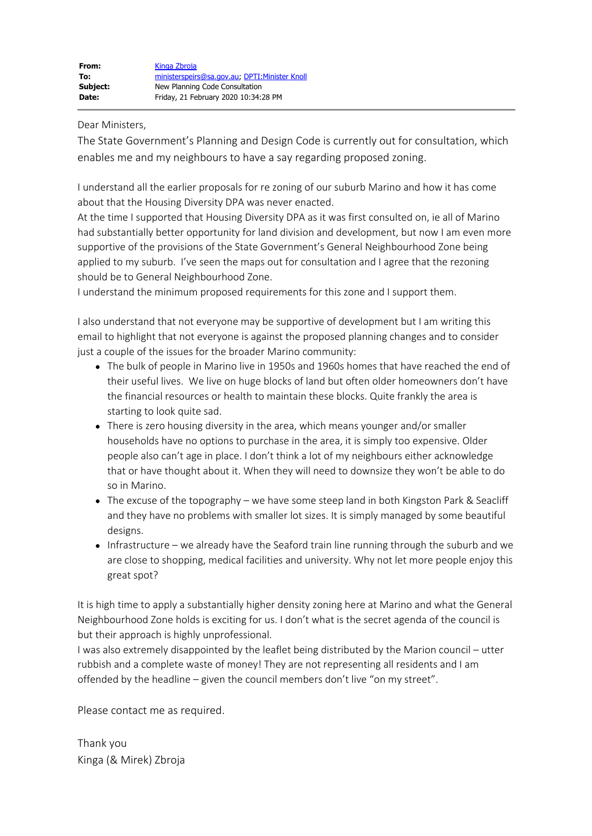Dear Ministers,

The State Government's Planning and Design Code is currently out for consultation, which enables me and my neighbours to have a say regarding proposed zoning.

I understand all the earlier proposals for re zoning of our suburb Marino and how it has come about that the Housing Diversity DPA was never enacted.

At the time I supported that Housing Diversity DPA as it was first consulted on, ie all of Marino had substantially better opportunity for land division and development, but now I am even more supportive of the provisions of the State Government's General Neighbourhood Zone being applied to my suburb. I've seen the maps out for consultation and I agree that the rezoning should be to General Neighbourhood Zone.

I understand the minimum proposed requirements for this zone and I support them.

I also understand that not everyone may be supportive of development but I am writing this email to highlight that not everyone is against the proposed planning changes and to consider just a couple of the issues for the broader Marino community:

- The bulk of people in Marino live in 1950s and 1960s homes that have reached the end of their useful lives. We live on huge blocks of land but often older homeowners don't have the financial resources or health to maintain these blocks. Quite frankly the area is starting to look quite sad.
- There is zero housing diversity in the area, which means younger and/or smaller households have no options to purchase in the area, it is simply too expensive. Older people also can't age in place. I don't think a lot of my neighbours either acknowledge that or have thought about it. When they will need to downsize they won't be able to do so in Marino.
- The excuse of the topography we have some steep land in both Kingston Park & Seacliff and they have no problems with smaller lot sizes. It is simply managed by some beautiful designs.
- Infrastructure we already have the Seaford train line running through the suburb and we are close to shopping, medical facilities and university. Why not let more people enjoy this great spot?

It is high time to apply a substantially higher density zoning here at Marino and what the General Neighbourhood Zone holds is exciting for us. I don't what is the secret agenda of the council is but their approach is highly unprofessional.

I was also extremely disappointed by the leaflet being distributed by the Marion council – utter rubbish and a complete waste of money! They are not representing all residents and I am offended by the headline – given the council members don't live "on my street".

Please contact me as required.

Thank you Kinga (& Mirek) Zbroja